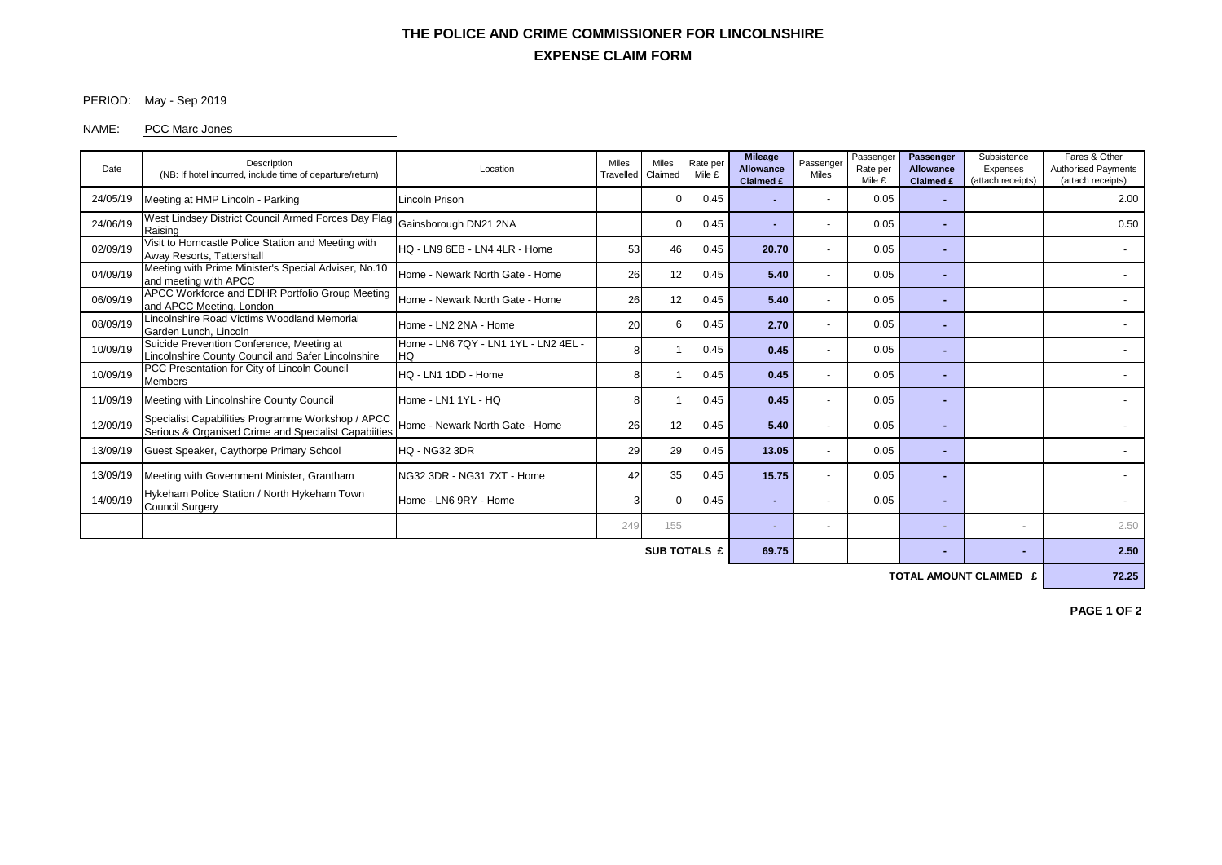## **EXPENSE CLAIM FORM THE POLICE AND CRIME COMMISSIONER FOR LINCOLNSHIRE**

#### PERIOD: May - Sep 2019

#### NAME: PCC Marc Jones

| Date     | <b>Description</b><br>(NB: If hotel incurred, include time of departure/return)                           | Location                                   |     | <b>Miles</b><br><b>Miles</b><br>Rate per<br>Claimed<br>Travelled |      | <b>Mileage</b><br><b>Allowance</b><br><b>Claimed £</b> | Passenger<br><b>Miles</b> | Passenger<br>Rate per<br>Mile £ | Passenger<br><b>Allowance</b><br><b>Claimed £</b> | Subsistence<br>Expenses<br>(attach receipts) | Fares & Other<br><b>Authorised Payments</b><br>(attach receipts) |  |
|----------|-----------------------------------------------------------------------------------------------------------|--------------------------------------------|-----|------------------------------------------------------------------|------|--------------------------------------------------------|---------------------------|---------------------------------|---------------------------------------------------|----------------------------------------------|------------------------------------------------------------------|--|
| 24/05/19 | Meeting at HMP Lincoln - Parking                                                                          | Lincoln Prison                             |     | $\Omega$                                                         | 0.45 |                                                        | $\overline{\phantom{a}}$  | 0.05                            |                                                   |                                              | 2.00                                                             |  |
| 24/06/19 | West Lindsey District Council Armed Forces Day Flag<br>Raising                                            | Gainsborough DN21 2NA                      |     | $\Omega$                                                         | 0.45 |                                                        | $\overline{\phantom{a}}$  | 0.05                            |                                                   |                                              | 0.50                                                             |  |
| 02/09/19 | Visit to Horncastle Police Station and Meeting with<br>Away Resorts, Tattershall                          | HQ - LN9 6EB - LN4 4LR - Home              |     | 53<br>46                                                         | 0.45 | 20.70                                                  | $\overline{\phantom{a}}$  | 0.05                            | ۰                                                 |                                              | $\overline{\phantom{0}}$                                         |  |
| 04/09/19 | Meeting with Prime Minister's Special Adviser, No.10<br>and meeting with APCC                             | Home - Newark North Gate - Home            | 26  | 12                                                               | 0.45 | 5.40                                                   | $\overline{\phantom{a}}$  | 0.05                            | -                                                 |                                              |                                                                  |  |
| 06/09/19 | APCC Workforce and EDHR Portfolio Group Meeting<br>and APCC Meeting, London                               | Home - Newark North Gate - Home            | 26  | 12                                                               | 0.45 | 5.40                                                   | $\overline{a}$            | 0.05                            | ۰.                                                |                                              |                                                                  |  |
| 08/09/19 | Lincolnshire Road Victims Woodland Memorial<br>Garden Lunch, Lincoln                                      | Home - LN2 2NA - Home                      | 20  | 6                                                                | 0.45 | 2.70                                                   | $\overline{\phantom{a}}$  | 0.05                            |                                                   |                                              |                                                                  |  |
| 10/09/19 | Suicide Prevention Conference, Meeting at<br>Lincolnshire County Council and Safer Lincolnshire           | Home - LN6 7QY - LN1 1YL - LN2 4EL -<br>HQ | 8   |                                                                  | 0.45 | 0.45                                                   | $\overline{\phantom{a}}$  | 0.05                            |                                                   |                                              |                                                                  |  |
| 10/09/19 | PCC Presentation for City of Lincoln Council<br><b>Members</b>                                            | HQ - LN1 1DD - Home                        | 8   |                                                                  | 0.45 | 0.45                                                   | $\overline{a}$            | 0.05                            | ۰                                                 |                                              |                                                                  |  |
| 11/09/19 | Meeting with Lincolnshire County Council                                                                  | Home - LN1 1YL - HQ                        | 8   |                                                                  | 0.45 | 0.45                                                   | $\overline{\phantom{a}}$  | 0.05                            |                                                   |                                              |                                                                  |  |
| 12/09/19 | Specialist Capabilities Programme Workshop / APCC<br>Serious & Organised Crime and Specialist Capabiities | Home - Newark North Gate - Home            | 26  | 12                                                               | 0.45 | 5.40                                                   | $\overline{\phantom{a}}$  | 0.05                            |                                                   |                                              |                                                                  |  |
| 13/09/19 | Guest Speaker, Caythorpe Primary School                                                                   | <b>HQ - NG32 3DR</b>                       | 29  | 29                                                               | 0.45 | 13.05                                                  | $\overline{\phantom{a}}$  | 0.05                            | ۰                                                 |                                              |                                                                  |  |
| 13/09/19 | Meeting with Government Minister, Grantham                                                                | NG32 3DR - NG31 7XT - Home                 | 42  | 35                                                               | 0.45 | 15.75                                                  | $\overline{\phantom{a}}$  | 0.05                            | ۰                                                 |                                              |                                                                  |  |
| 14/09/19 | Hykeham Police Station / North Hykeham Town<br>Home - LN6 9RY - Home<br><b>Council Surgery</b>            |                                            | 3   | $\Omega$                                                         | 0.45 |                                                        | $\overline{\phantom{a}}$  | 0.05                            | -                                                 |                                              |                                                                  |  |
|          |                                                                                                           |                                            | 249 | 155                                                              |      |                                                        |                           |                                 |                                                   |                                              | 2.50                                                             |  |
|          | 69.75                                                                                                     |                                            |     |                                                                  |      | 2.50                                                   |                           |                                 |                                                   |                                              |                                                                  |  |

**TOTAL AMOUNT CLAIMED £** 72.25

**PAGE 1 OF 2**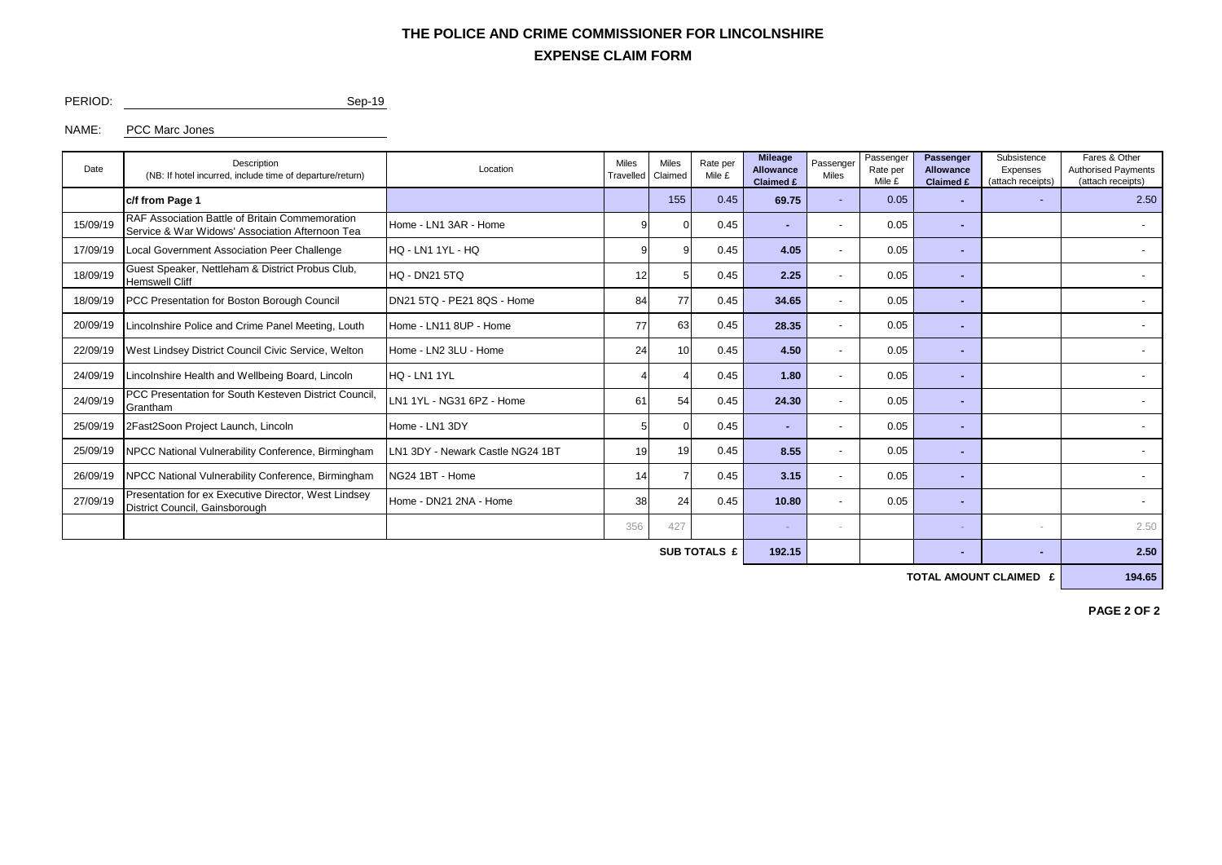## **EXPENSE CLAIM FORM THE POLICE AND CRIME COMMISSIONER FOR LINCOLNSHIRE**

PERIOD: Sep-19

NAME: PCC Marc Jones

| Date     | Description<br>(NB: If hotel incurred, include time of departure/return)                                         | Location                         |            | <b>Miles</b><br>Claimed | Rate per<br>Mile £ | <b>Mileage</b><br><b>Allowance</b><br><b>Claimed £</b> | Passenger<br>Miles | Passenger<br>Rate per<br>Mile £ | Passenger<br><b>Allowance</b><br><b>Claimed £</b> | Subsistence<br>Expenses<br>(attach receipts) | Fares & Other<br><b>Authorised Payments</b><br>(attach receipts) |  |
|----------|------------------------------------------------------------------------------------------------------------------|----------------------------------|------------|-------------------------|--------------------|--------------------------------------------------------|--------------------|---------------------------------|---------------------------------------------------|----------------------------------------------|------------------------------------------------------------------|--|
|          | c/f from Page 1                                                                                                  |                                  |            | 155                     | 0.45               | 69.75                                                  |                    | 0.05                            | н.                                                | $\overline{\phantom{0}}$                     | 2.50                                                             |  |
| 15/09/19 | RAF Association Battle of Britain Commemoration<br>Service & War Widows' Association Afternoon Tea               | Home - LN1 3AR - Home            |            |                         | 0.45               |                                                        |                    | 0.05                            |                                                   |                                              |                                                                  |  |
| 17/09/19 | Local Government Association Peer Challenge                                                                      | HQ - LN1 1YL - HQ                |            |                         | 0.45               | 4.05                                                   |                    | 0.05                            | ۰.                                                |                                              | ٠                                                                |  |
| 18/09/19 | Guest Speaker, Nettleham & District Probus Club,<br><b>Hemswell Cliff</b>                                        | <b>HQ - DN21 5TQ</b>             | 12         |                         | 0.45               | 2.25                                                   |                    | 0.05                            |                                                   |                                              | $\overline{\phantom{a}}$                                         |  |
| 18/09/19 | <b>PCC Presentation for Boston Borough Council</b>                                                               | DN21 5TQ - PE21 8QS - Home       | 84         | 77                      | 0.45               | 34.65                                                  |                    | 0.05                            |                                                   |                                              |                                                                  |  |
| 20/09/19 | Lincolnshire Police and Crime Panel Meeting, Louth                                                               | Home - LN11 8UP - Home           | 77         | 63                      | 0.45               | 28.35                                                  |                    | 0.05                            | ۰.                                                |                                              | $\overline{\phantom{0}}$                                         |  |
| 22/09/19 | West Lindsey District Council Civic Service, Welton                                                              | Home - LN2 3LU - Home            | 24         | 10                      | 0.45               | 4.50                                                   |                    | 0.05                            | ۰.                                                |                                              |                                                                  |  |
| 24/09/19 | Lincolnshire Health and Wellbeing Board, Lincoln                                                                 | HQ - LN1 1YL                     |            |                         | 0.45               | 1.80                                                   |                    | 0.05                            | н.                                                |                                              |                                                                  |  |
| 24/09/19 | PCC Presentation for South Kesteven District Council<br>Grantham                                                 | LN1 1YL - NG31 6PZ - Home        | 61         | 54                      | 0.45               | 24.30                                                  |                    | 0.05                            |                                                   |                                              |                                                                  |  |
| 25/09/19 | 2Fast2Soon Project Launch, Lincoln                                                                               | Home - LN1 3DY                   |            | $\Omega$                | 0.45               |                                                        |                    | 0.05                            | ۰.                                                |                                              |                                                                  |  |
| 25/09/19 | NPCC National Vulnerability Conference, Birmingham                                                               | LN1 3DY - Newark Castle NG24 1BT | 19         | 19                      | 0.45               | 8.55                                                   |                    | 0.05                            | ۰.                                                |                                              | ٠                                                                |  |
| 26/09/19 | <b>NPCC National Vulnerability Conference, Birmingham</b>                                                        | NG24 1BT - Home                  | 14         |                         | 0.45               | 3.15                                                   |                    | 0.05                            | н.                                                |                                              |                                                                  |  |
| 27/09/19 | Presentation for ex Executive Director, West Lindsey<br>Home - DN21 2NA - Home<br>District Council, Gainsborough |                                  | 38         | 24                      | 0.45               | 10.80                                                  |                    | 0.05                            |                                                   |                                              |                                                                  |  |
|          |                                                                                                                  |                                  | 427<br>356 |                         |                    |                                                        |                    |                                 |                                                   | $\sim$                                       | 2.50                                                             |  |
|          |                                                                                                                  | 192.15                           |            |                         |                    |                                                        | 2.50               |                                 |                                                   |                                              |                                                                  |  |

**TOTAL AMOUNT CLAIMED £** 194.65

**PAGE 2 OF 2**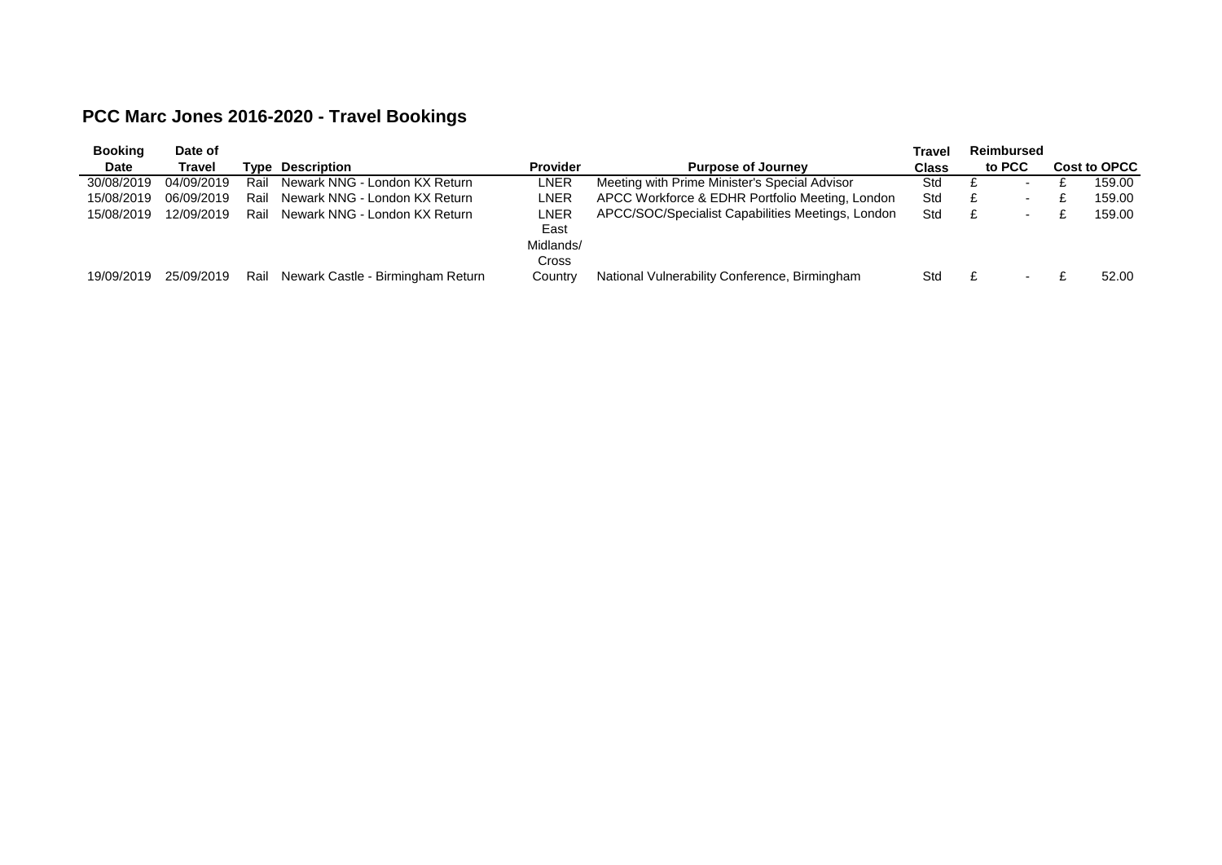# **PCC Marc Jones 2016-2020 - Travel Bookings**

| <b>Booking</b> | Date of    |      |                                   |                 |                                                   | Travel | Reimbursed               |  |                     |
|----------------|------------|------|-----------------------------------|-----------------|---------------------------------------------------|--------|--------------------------|--|---------------------|
| <b>Date</b>    | Travel     |      | <b>Tvpe Description</b>           | <b>Provider</b> | <b>Purpose of Journey</b>                         |        | to PCC                   |  | <b>Cost to OPCC</b> |
| 30/08/2019     | 04/09/2019 | Rail | Newark NNG - London KX Return     | LNER            | Meeting with Prime Minister's Special Advisor     | Std    | $\overline{\phantom{0}}$ |  | 159.00              |
| 15/08/2019     | 06/09/2019 | Rail | Newark NNG - London KX Return     | LNER            | APCC Workforce & EDHR Portfolio Meeting, London   | Std    | $\overline{\phantom{a}}$ |  | 159.00              |
| 15/08/2019     | 12/09/2019 | Rail | Newark NNG - London KX Return     | LNER            | APCC/SOC/Specialist Capabilities Meetings, London | Std    | $\sim$                   |  | 159.00              |
|                |            |      |                                   | East            |                                                   |        |                          |  |                     |
|                |            |      |                                   | Midlands/       |                                                   |        |                          |  |                     |
|                |            |      |                                   | Cross           |                                                   |        |                          |  |                     |
| 19/09/2019     | 25/09/2019 | Rail | Newark Castle - Birmingham Return | Country         | National Vulnerability Conference, Birmingham     | Std    | $\overline{\phantom{a}}$ |  | 52.00               |